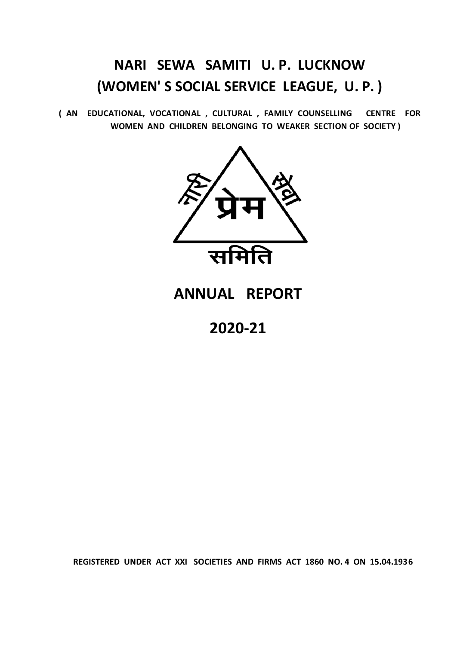# **NARI SEWA SAMITI U. P. LUCKNOW (WOMEN' S SOCIAL SERVICE LEAGUE, U. P. )**

**( AN EDUCATIONAL, VOCATIONAL , CULTURAL , FAMILY COUNSELLING CENTRE FOR WOMEN AND CHILDREN BELONGING TO WEAKER SECTION OF SOCIETY )**



## **ANNUAL REPORT**

**2020-21**

**REGISTERED UNDER ACT XXI SOCIETIES AND FIRMS ACT 1860 NO. 4 ON 15.04.1936**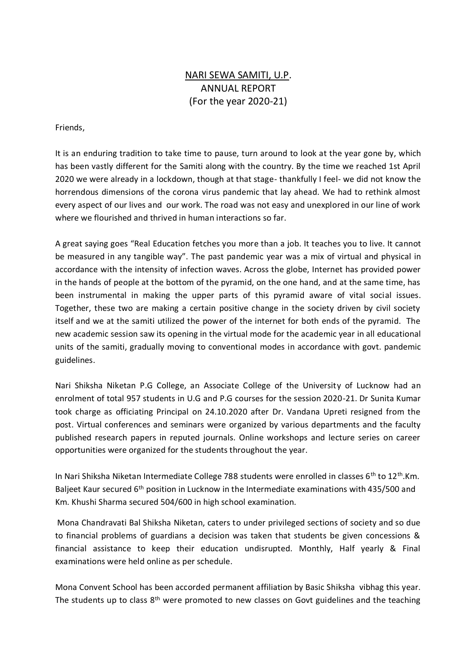## NARI SEWA SAMITI, U.P. ANNUAL REPORT (For the year 2020-21)

#### Friends,

It is an enduring tradition to take time to pause, turn around to look at the year gone by, which has been vastly different for the Samiti along with the country. By the time we reached 1st April 2020 we were already in a lockdown, though at that stage- thankfully I feel- we did not know the horrendous dimensions of the corona virus pandemic that lay ahead. We had to rethink almost every aspect of our lives and our work. The road was not easy and unexplored in our line of work where we flourished and thrived in human interactions so far.

A great saying goes "Real Education fetches you more than a job. It teaches you to live. It cannot be measured in any tangible way". The past pandemic year was a mix of virtual and physical in accordance with the intensity of infection waves. Across the globe, Internet has provided power in the hands of people at the bottom of the pyramid, on the one hand, and at the same time, has been instrumental in making the upper parts of this pyramid aware of vital social issues. Together, these two are making a certain positive change in the society driven by civil society itself and we at the samiti utilized the power of the internet for both ends of the pyramid. The new academic session saw its opening in the virtual mode for the academic year in all educational units of the samiti, gradually moving to conventional modes in accordance with govt. pandemic guidelines.

Nari Shiksha Niketan P.G College, an Associate College of the University of Lucknow had an enrolment of total 957 students in U.G and P.G courses for the session 2020-21. Dr Sunita Kumar took charge as officiating Principal on 24.10.2020 after Dr. Vandana Upreti resigned from the post. Virtual conferences and seminars were organized by various departments and the faculty published research papers in reputed journals. Online workshops and lecture series on career opportunities were organized for the students throughout the year.

In Nari Shiksha Niketan Intermediate College 788 students were enrolled in classes 6<sup>th</sup> to 12<sup>th</sup>.Km. Baljeet Kaur secured 6<sup>th</sup> position in Lucknow in the Intermediate examinations with 435/500 and Km. Khushi Sharma secured 504/600 in high school examination.

Mona Chandravati Bal Shiksha Niketan, caters to under privileged sections of society and so due to financial problems of guardians a decision was taken that students be given concessions & financial assistance to keep their education undisrupted. Monthly, Half yearly & Final examinations were held online as per schedule.

Mona Convent School has been accorded permanent affiliation by Basic Shiksha vibhag this year. The students up to class  $8<sup>th</sup>$  were promoted to new classes on Govt guidelines and the teaching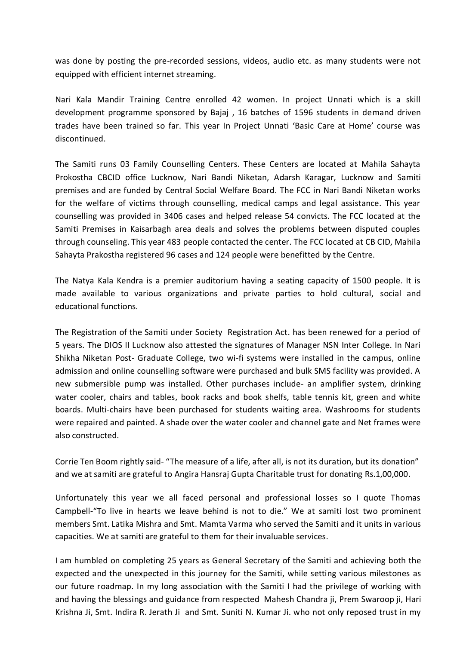was done by posting the pre-recorded sessions, videos, audio etc. as many students were not equipped with efficient internet streaming.

Nari Kala Mandir Training Centre enrolled 42 women. In project Unnati which is a skill development programme sponsored by Bajaj , 16 batches of 1596 students in demand driven trades have been trained so far. This year In Project Unnati 'Basic Care at Home' course was discontinued.

The Samiti runs 03 Family Counselling Centers. These Centers are located at Mahila Sahayta Prokostha CBCID office Lucknow, Nari Bandi Niketan, Adarsh Karagar, Lucknow and Samiti premises and are funded by Central Social Welfare Board. The FCC in Nari Bandi Niketan works for the welfare of victims through counselling, medical camps and legal assistance. This year counselling was provided in 3406 cases and helped release 54 convicts. The FCC located at the Samiti Premises in Kaisarbagh area deals and solves the problems between disputed couples through counseling. This year 483 people contacted the center. The FCC located at CB CID, Mahila Sahayta Prakostha registered 96 cases and 124 people were benefitted by the Centre.

The Natya Kala Kendra is a premier auditorium having a seating capacity of 1500 people. It is made available to various organizations and private parties to hold cultural, social and educational functions.

The Registration of the Samiti under Society Registration Act. has been renewed for a period of 5 years. The DIOS II Lucknow also attested the signatures of Manager NSN Inter College. In Nari Shikha Niketan Post- Graduate College, two wi-fi systems were installed in the campus, online admission and online counselling software were purchased and bulk SMS facility was provided. A new submersible pump was installed. Other purchases include- an amplifier system, drinking water cooler, chairs and tables, book racks and book shelfs, table tennis kit, green and white boards. Multi-chairs have been purchased for students waiting area. Washrooms for students were repaired and painted. A shade over the water cooler and channel gate and Net frames were also constructed.

Corrie Ten Boom rightly said- "The measure of a life, after all, is not its duration, but its donation" and we at samiti are grateful to Angira Hansraj Gupta Charitable trust for donating Rs.1,00,000.

Unfortunately this year we all faced personal and professional losses so I quote Thomas Campbell-"To live in hearts we leave behind is not to die." We at samiti lost two prominent members Smt. Latika Mishra and Smt. Mamta Varma who served the Samiti and it units in various capacities. We at samiti are grateful to them for their invaluable services.

I am humbled on completing 25 years as General Secretary of the Samiti and achieving both the expected and the unexpected in this journey for the Samiti, while setting various milestones as our future roadmap. In my long association with the Samiti I had the privilege of working with and having the blessings and guidance from respected Mahesh Chandra ji, Prem Swaroop ji, Hari Krishna Ji, Smt. Indira R. Jerath Ji and Smt. Suniti N. Kumar Ji. who not only reposed trust in my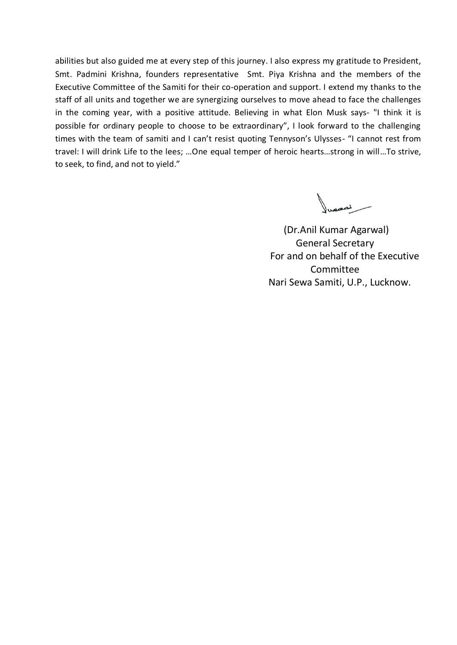abilities but also guided me at every step of this journey. I also express my gratitude to President, Smt. Padmini Krishna, founders representative Smt. Piya Krishna and the members of the Executive Committee of the Samiti for their co-operation and support. I extend my thanks to the staff of all units and together we are synergizing ourselves to move ahead to face the challenges in the coming year, with a positive attitude. Believing in what Elon Musk says- "I think it is possible for ordinary people to choose to be extraordinary", I look forward to the challenging times with the team of samiti and I can't resist quoting Tennyson's Ulysses- "I cannot rest from travel: I will drink Life to the lees; …One equal temper of heroic hearts…strong in will…To strive, to seek, to find, and not to yield."

 (Dr.Anil Kumar Agarwal) General Secretary For and on behalf of the Executive Committee Nari Sewa Samiti, U.P., Lucknow.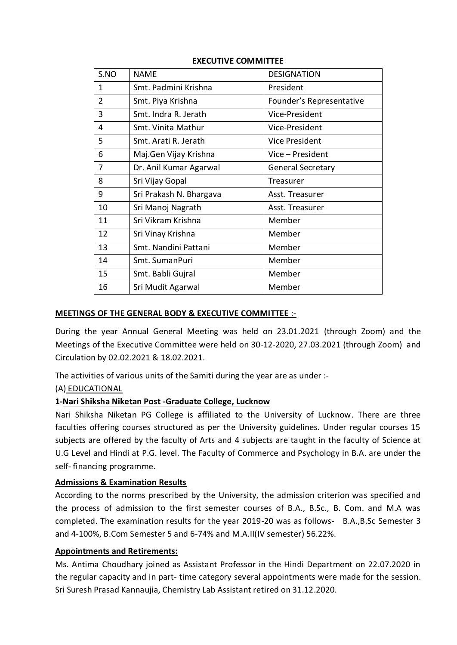| S.NO           | <b>NAME</b>             | <b>DESIGNATION</b>       |
|----------------|-------------------------|--------------------------|
| 1              | Smt. Padmini Krishna    | President                |
| $\overline{2}$ | Smt. Piya Krishna       | Founder's Representative |
| 3              | Smt. Indra R. Jerath    | Vice-President           |
| 4              | Smt. Vinita Mathur      | Vice-President           |
| 5              | Smt. Arati R. Jerath    | <b>Vice President</b>    |
| 6              | Maj.Gen Vijay Krishna   | Vice – President         |
| 7              | Dr. Anil Kumar Agarwal  | <b>General Secretary</b> |
| 8              | Sri Vijay Gopal         | Treasurer                |
| 9              | Sri Prakash N. Bhargava | Asst. Treasurer          |
| 10             | Sri Manoj Nagrath       | Asst. Treasurer          |
| 11             | Sri Vikram Krishna      | Member                   |
| 12             | Sri Vinay Krishna       | Member                   |
| 13             | Smt. Nandini Pattani    | Member                   |
| 14             | Smt. SumanPuri          | Member                   |
| 15             | Smt. Babli Gujral       | Member                   |
| 16             | Sri Mudit Agarwal       | Member                   |
|                |                         |                          |

#### **EXECUTIVE COMMITTEE**

#### **MEETINGS OF THE GENERAL BODY & EXECUTIVE COMMITTEE** :-

During the year Annual General Meeting was held on 23.01.2021 (through Zoom) and the Meetings of the Executive Committee were held on 30-12-2020, 27.03.2021 (through Zoom) and Circulation by 02.02.2021 & 18.02.2021.

The activities of various units of the Samiti during the year are as under :-

### (A) EDUCATIONAL

### **1-Nari Shiksha Niketan Post -Graduate College, Lucknow**

Nari Shiksha Niketan PG College is affiliated to the University of Lucknow. There are three faculties offering courses structured as per the University guidelines. Under regular courses 15 subjects are offered by the faculty of Arts and 4 subjects are taught in the faculty of Science at U.G Level and Hindi at P.G. level. The Faculty of Commerce and Psychology in B.A. are under the self- financing programme.

#### **Admissions & Examination Results**

According to the norms prescribed by the University, the admission criterion was specified and the process of admission to the first semester courses of B.A., B.Sc., B. Com. and M.A was completed. The examination results for the year 2019-20 was as follows- B.A.,B.Sc Semester 3 and 4-100%, B.Com Semester 5 and 6-74% and M.A.II(IV semester) 56.22%.

#### **Appointments and Retirements:**

Ms. Antima Choudhary joined as Assistant Professor in the Hindi Department on 22.07.2020 in the regular capacity and in part- time category several appointments were made for the session. Sri Suresh Prasad Kannaujia, Chemistry Lab Assistant retired on 31.12.2020.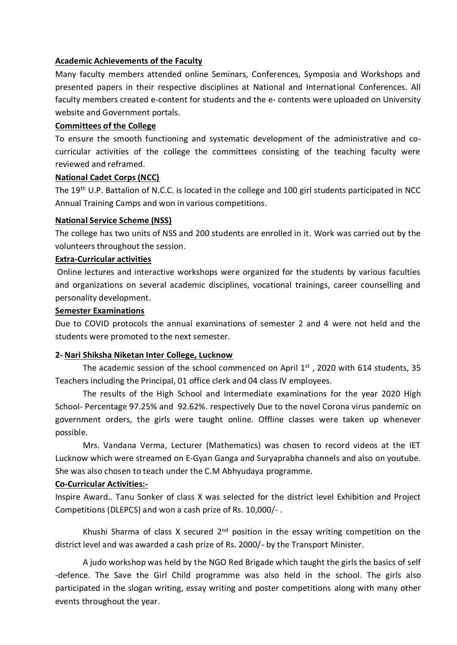#### **Academic Achievements of the Faculty**

Many faculty members attended online Seminars, Conferences, Symposia and Workshops and presented papers in their respective disciplines at National and International Conferences. All faculty members created e-content for students and the e- contents were uploaded on University website and Government portals.

#### **Committees of the College**

To ensure the smooth functioning and systematic development of the administrative and cocurricular activities of the college the committees consisting of the teaching faculty were reviewed and reframed.

#### **National Cadet Corps (NCC)**

The 19<sup>th</sup> U.P. Battalion of N.C.C. is located in the college and 100 girl students participated in NCC Annual Training Camps and won in various competitions.

#### **National Service Scheme (NSS)**

The college has two units of NSS and 200 students are enrolled in it. Work was carried out by the volunteers throughout the session.

#### **Extra-Curricular activities**

Online lectures and interactive workshops were organized for the students by various faculties and organizations on several academic disciplines, vocational trainings, career counselling and personality development.

#### **Semester Examinations**

Due to COVID protocols the annual examinations of semester 2 and 4 were not held and the students were promoted to the next semester.

#### **2- Nari Shiksha Niketan Inter College, Lucknow**

The academic session of the school commenced on April  $1<sup>st</sup>$ , 2020 with 614 students, 35 Teachers including the Principal, 01 office clerk and 04 class IV employees.

The results of the High School and Intermediate examinations for the year 2020 High School- Percentage 97.25% and 92.62%. respectively Due to the novel Corona virus pandemic on government orders, the girls were taught online. Offline classes were taken up whenever possible.

Mrs. Vandana Verma, Lecturer (Mathematics) was chosen to record videos at the IET Lucknow which were streamed on E-Gyan Ganga and Suryaprabha channels and also on youtube. She was also chosen to teach under the C.M Abhyudaya programme.

#### **Co-Curricular Activities:-**

Inspire Award.. Tanu Sonker of class X was selected for the district level Exhibition and Project Competitions (DLEPCS) and won a cash prize of Rs. 10,000/- .

Khushi Sharma of class X secured  $2<sup>nd</sup>$  position in the essay writing competition on the district level and was awarded a cash prize of Rs. 2000/- by the Transport Minister.

A judo workshop was held by the NGO Red Brigade which taught the girls the basics of self -defence. The Save the Girl Child programme was also held in the school. The girls also participated in the slogan writing, essay writing and poster competitions along with many other events throughout the year.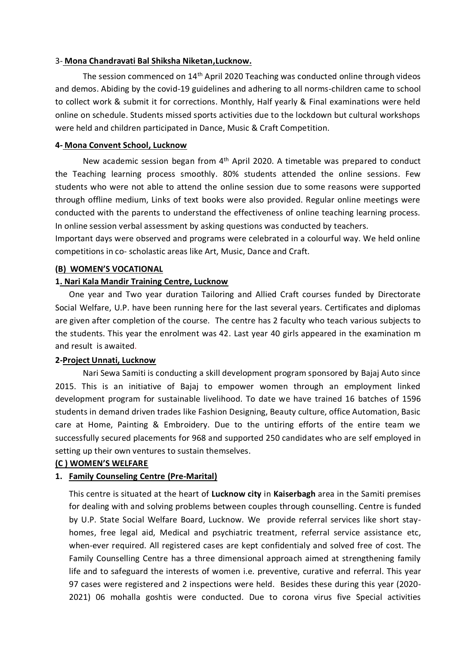#### 3- **Mona Chandravati Bal Shiksha Niketan,Lucknow.**

The session commenced on 14th April 2020 Teaching was conducted online through videos and demos. Abiding by the covid-19 guidelines and adhering to all norms-children came to school to collect work & submit it for corrections. Monthly, Half yearly & Final examinations were held online on schedule. Students missed sports activities due to the lockdown but cultural workshops were held and children participated in Dance, Music & Craft Competition.

#### **4- Mona Convent School, Lucknow**

New academic session began from 4<sup>th</sup> April 2020. A timetable was prepared to conduct the Teaching learning process smoothly. 80% students attended the online sessions. Few students who were not able to attend the online session due to some reasons were supported through offline medium, Links of text books were also provided. Regular online meetings were conducted with the parents to understand the effectiveness of online teaching learning process. In online session verbal assessment by asking questions was conducted by teachers.

Important days were observed and programs were celebrated in a colourful way. We held online competitions in co- scholastic areas like Art, Music, Dance and Craft.

#### **(B) WOMEN'S VOCATIONAL**

#### **1. Nari Kala Mandir Training Centre, Lucknow**

One year and Two year duration Tailoring and Allied Craft courses funded by Directorate Social Welfare, U.P. have been running here for the last several years. Certificates and diplomas are given after completion of the course. The centre has 2 faculty who teach various subjects to the students. This year the enrolment was 42. Last year 40 girls appeared in the examination m and result is awaited.

#### **2-Project Unnati, Lucknow**

Nari Sewa Samiti is conducting a skill development program sponsored by Bajaj Auto since 2015. This is an initiative of Bajaj to empower women through an employment linked development program for sustainable livelihood. To date we have trained 16 batches of 1596 students in demand driven trades like Fashion Designing, Beauty culture, office Automation, Basic care at Home, Painting & Embroidery. Due to the untiring efforts of the entire team we successfully secured placements for 968 and supported 250 candidates who are self employed in setting up their own ventures to sustain themselves.

#### **(C ) WOMEN'S WELFARE**

#### **1. Family Counseling Centre (Pre-Marital)**

This centre is situated at the heart of **Lucknow city** in **Kaiserbagh** area in the Samiti premises for dealing with and solving problems between couples through counselling. Centre is funded by U.P. State Social Welfare Board, Lucknow. We provide referral services like short stayhomes, free legal aid, Medical and psychiatric treatment, referral service assistance etc, when-ever required. All registered cases are kept confidentialy and solved free of cost. The Family Counselling Centre has a three dimensional approach aimed at strengthening family life and to safeguard the interests of women i.e. preventive, curative and referral. This year 97 cases were registered and 2 inspections were held. Besides these during this year (2020- 2021) 06 mohalla goshtis were conducted. Due to corona virus five Special activities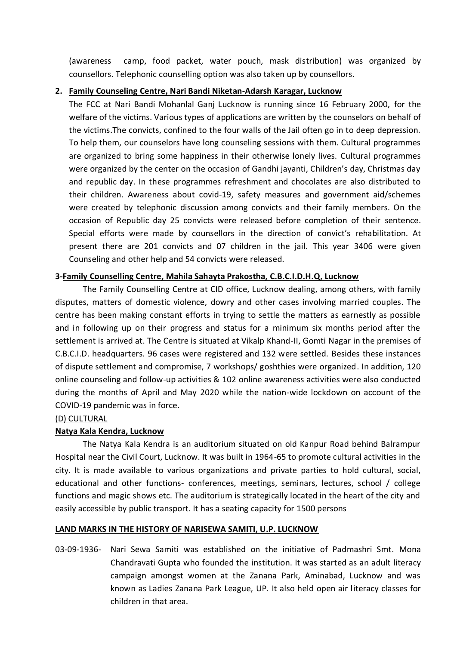(awareness camp, food packet, water pouch, mask distribution) was organized by counsellors. Telephonic counselling option was also taken up by counsellors.

#### **2. Family Counseling Centre, Nari Bandi Niketan-Adarsh Karagar, Lucknow**

The FCC at Nari Bandi Mohanlal Ganj Lucknow is running since 16 February 2000, for the welfare of the victims. Various types of applications are written by the counselors on behalf of the victims.The convicts, confined to the four walls of the Jail often go in to deep depression. To help them, our counselors have long counseling sessions with them. Cultural programmes are organized to bring some happiness in their otherwise lonely lives. Cultural programmes were organized by the center on the occasion of Gandhi jayanti, Children's day, Christmas day and republic day. In these programmes refreshment and chocolates are also distributed to their children. Awareness about covid-19, safety measures and government aid/schemes were created by telephonic discussion among convicts and their family members. On the occasion of Republic day 25 convicts were released before completion of their sentence. Special efforts were made by counsellors in the direction of convict's rehabilitation. At present there are 201 convicts and 07 children in the jail. This year 3406 were given Counseling and other help and 54 convicts were released.

#### **3-Family Counselling Centre, Mahila Sahayta Prakostha, C.B.C.I.D.H.Q, Lucknow**

The Family Counselling Centre at CID office, Lucknow dealing, among others, with family disputes, matters of domestic violence, dowry and other cases involving married couples. The centre has been making constant efforts in trying to settle the matters as earnestly as possible and in following up on their progress and status for a minimum six months period after the settlement is arrived at. The Centre is situated at Vikalp Khand-II, Gomti Nagar in the premises of C.B.C.I.D. headquarters. 96 cases were registered and 132 were settled. Besides these instances of dispute settlement and compromise, 7 workshops/ goshthies were organized. In addition, 120 online counseling and follow-up activities & 102 online awareness activities were also conducted during the months of April and May 2020 while the nation-wide lockdown on account of the COVID-19 pandemic was in force.

#### (D) CULTURAL

#### **Natya Kala Kendra, Lucknow**

The Natya Kala Kendra is an auditorium situated on old Kanpur Road behind Balrampur Hospital near the Civil Court, Lucknow. It was built in 1964-65 to promote cultural activities in the city. It is made available to various organizations and private parties to hold cultural, social, educational and other functions- conferences, meetings, seminars, lectures, school / college functions and magic shows etc. The auditorium is strategically located in the heart of the city and easily accessible by public transport. It has a seating capacity for 1500 persons

#### **LAND MARKS IN THE HISTORY OF NARISEWA SAMITI, U.P. LUCKNOW**

03-09-1936- Nari Sewa Samiti was established on the initiative of Padmashri Smt. Mona Chandravati Gupta who founded the institution. It was started as an adult literacy campaign amongst women at the Zanana Park, Aminabad, Lucknow and was known as Ladies Zanana Park League, UP. It also held open air literacy classes for children in that area.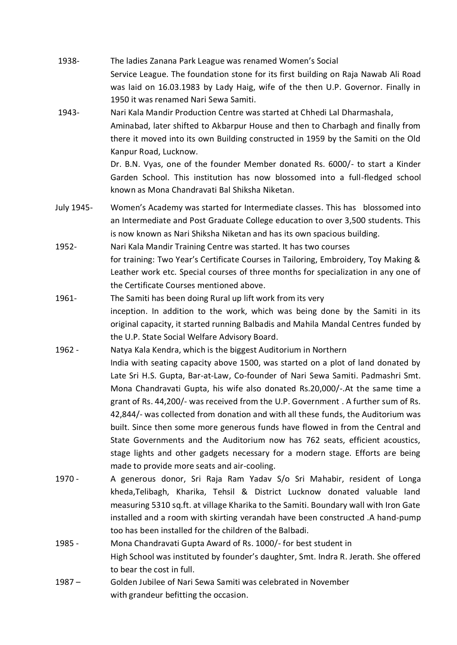| 1938-      | The ladies Zanana Park League was renamed Women's Social                                                                                                                                                                                                                   |  |  |
|------------|----------------------------------------------------------------------------------------------------------------------------------------------------------------------------------------------------------------------------------------------------------------------------|--|--|
|            | Service League. The foundation stone for its first building on Raja Nawab Ali Road<br>was laid on 16.03.1983 by Lady Haig, wife of the then U.P. Governor. Finally in                                                                                                      |  |  |
|            | 1950 it was renamed Nari Sewa Samiti.                                                                                                                                                                                                                                      |  |  |
| 1943-      | Nari Kala Mandir Production Centre was started at Chhedi Lal Dharmashala,<br>Aminabad, later shifted to Akbarpur House and then to Charbagh and finally from<br>there it moved into its own Building constructed in 1959 by the Samiti on the Old<br>Kanpur Road, Lucknow. |  |  |
|            | Dr. B.N. Vyas, one of the founder Member donated Rs. 6000/- to start a Kinder<br>Garden School. This institution has now blossomed into a full-fledged school<br>known as Mona Chandravati Bal Shiksha Niketan.                                                            |  |  |
| July 1945- | Women's Academy was started for Intermediate classes. This has blossomed into<br>an Intermediate and Post Graduate College education to over 3,500 students. This<br>is now known as Nari Shiksha Niketan and has its own spacious building.                               |  |  |
| 1952-      | Nari Kala Mandir Training Centre was started. It has two courses                                                                                                                                                                                                           |  |  |
|            | for training: Two Year's Certificate Courses in Tailoring, Embroidery, Toy Making &                                                                                                                                                                                        |  |  |
|            | Leather work etc. Special courses of three months for specialization in any one of                                                                                                                                                                                         |  |  |
|            | the Certificate Courses mentioned above.                                                                                                                                                                                                                                   |  |  |
| 1961-      | The Samiti has been doing Rural up lift work from its very                                                                                                                                                                                                                 |  |  |
|            | inception. In addition to the work, which was being done by the Samiti in its                                                                                                                                                                                              |  |  |
|            | original capacity, it started running Balbadis and Mahila Mandal Centres funded by                                                                                                                                                                                         |  |  |
|            | the U.P. State Social Welfare Advisory Board.                                                                                                                                                                                                                              |  |  |
| 1962 -     | Natya Kala Kendra, which is the biggest Auditorium in Northern                                                                                                                                                                                                             |  |  |
|            | India with seating capacity above 1500, was started on a plot of land donated by                                                                                                                                                                                           |  |  |
|            | Late Sri H.S. Gupta, Bar-at-Law, Co-founder of Nari Sewa Samiti. Padmashri Smt.                                                                                                                                                                                            |  |  |
|            | Mona Chandravati Gupta, his wife also donated Rs.20,000/-. At the same time a                                                                                                                                                                                              |  |  |
|            | grant of Rs. 44,200/- was received from the U.P. Government. A further sum of Rs.                                                                                                                                                                                          |  |  |
|            | 42,844/- was collected from donation and with all these funds, the Auditorium was                                                                                                                                                                                          |  |  |
|            | built. Since then some more generous funds have flowed in from the Central and                                                                                                                                                                                             |  |  |
|            | State Governments and the Auditorium now has 762 seats, efficient acoustics,                                                                                                                                                                                               |  |  |

- stage lights and other gadgets necessary for a modern stage. Efforts are being made to provide more seats and air-cooling. 1970 - A generous donor, Sri Raja Ram Yadav S/o Sri Mahabir, resident of Longa kheda,Telibagh, Kharika, Tehsil & District Lucknow donated valuable land measuring 5310 sq.ft. at village Kharika to the Samiti. Boundary wall with Iron Gate installed and a room with skirting verandah have been constructed .A hand-pump
- 1985 Mona Chandravati Gupta Award of Rs. 1000/- for best student in High School was instituted by founder's daughter, Smt. Indra R. Jerath. She offered to bear the cost in full.
- 1987 Golden Jubilee of Nari Sewa Samiti was celebrated in November with grandeur befitting the occasion.

too has been installed for the children of the Balbadi.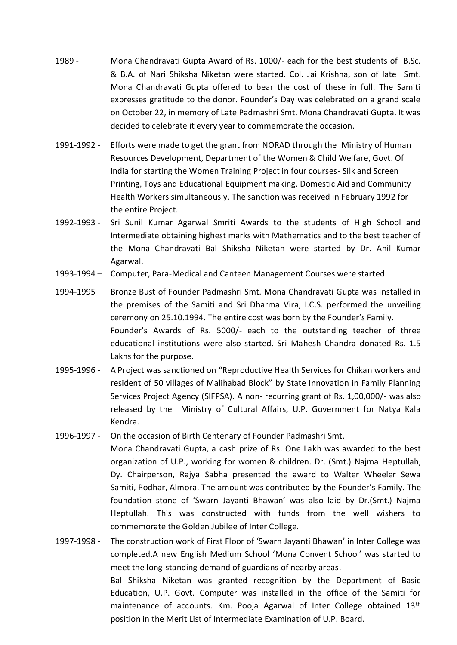- 1989 Mona Chandravati Gupta Award of Rs. 1000/- each for the best students of B.Sc. & B.A. of Nari Shiksha Niketan were started. Col. Jai Krishna, son of late Smt. Mona Chandravati Gupta offered to bear the cost of these in full. The Samiti expresses gratitude to the donor. Founder's Day was celebrated on a grand scale on October 22, in memory of Late Padmashri Smt. Mona Chandravati Gupta. It was decided to celebrate it every year to commemorate the occasion.
- 1991-1992 Efforts were made to get the grant from NORAD through the Ministry of Human Resources Development, Department of the Women & Child Welfare, Govt. Of India for starting the Women Training Project in four courses- Silk and Screen Printing, Toys and Educational Equipment making, Domestic Aid and Community Health Workers simultaneously. The sanction was received in February 1992 for the entire Project.
- 1992-1993 Sri Sunil Kumar Agarwal Smriti Awards to the students of High School and Intermediate obtaining highest marks with Mathematics and to the best teacher of the Mona Chandravati Bal Shiksha Niketan were started by Dr. Anil Kumar Agarwal.
- 1993-1994 Computer, Para-Medical and Canteen Management Courses were started.
- 1994-1995 Bronze Bust of Founder Padmashri Smt. Mona Chandravati Gupta was installed in the premises of the Samiti and Sri Dharma Vira, I.C.S. performed the unveiling ceremony on 25.10.1994. The entire cost was born by the Founder's Family. Founder's Awards of Rs. 5000/- each to the outstanding teacher of three educational institutions were also started. Sri Mahesh Chandra donated Rs. 1.5 Lakhs for the purpose.
- 1995-1996 A Project was sanctioned on "Reproductive Health Services for Chikan workers and resident of 50 villages of Malihabad Block" by State Innovation in Family Planning Services Project Agency (SIFPSA). A non- recurring grant of Rs. 1,00,000/- was also released by the Ministry of Cultural Affairs, U.P. Government for Natya Kala Kendra.
- 1996-1997 On the occasion of Birth Centenary of Founder Padmashri Smt.

Mona Chandravati Gupta, a cash prize of Rs. One Lakh was awarded to the best organization of U.P., working for women & children. Dr. (Smt.) Najma Heptullah, Dy. Chairperson, Rajya Sabha presented the award to Walter Wheeler Sewa Samiti, Podhar, Almora. The amount was contributed by the Founder's Family. The foundation stone of 'Swarn Jayanti Bhawan' was also laid by Dr.(Smt.) Najma Heptullah. This was constructed with funds from the well wishers to commemorate the Golden Jubilee of Inter College.

1997-1998 - The construction work of First Floor of 'Swarn Jayanti Bhawan' in Inter College was completed.A new English Medium School 'Mona Convent School' was started to meet the long-standing demand of guardians of nearby areas. Bal Shiksha Niketan was granted recognition by the Department of Basic Education, U.P. Govt. Computer was installed in the office of the Samiti for maintenance of accounts. Km. Pooja Agarwal of Inter College obtained 13<sup>th</sup> position in the Merit List of Intermediate Examination of U.P. Board.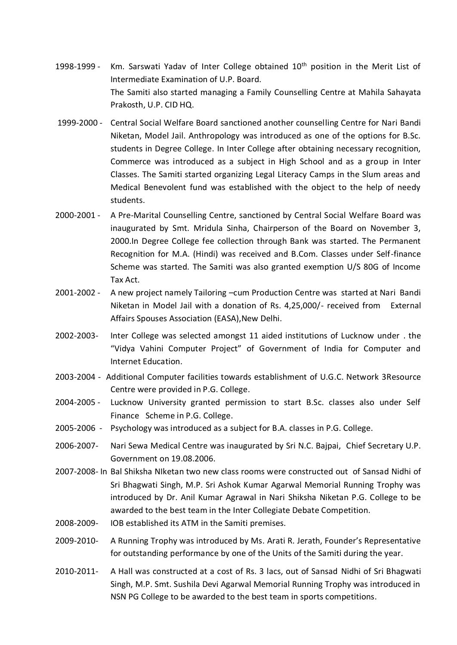- 1998-1999 Km. Sarswati Yadav of Inter College obtained 10<sup>th</sup> position in the Merit List of Intermediate Examination of U.P. Board. The Samiti also started managing a Family Counselling Centre at Mahila Sahayata Prakosth, U.P. CID HQ.
- 1999-2000 Central Social Welfare Board sanctioned another counselling Centre for Nari Bandi Niketan, Model Jail. Anthropology was introduced as one of the options for B.Sc. students in Degree College. In Inter College after obtaining necessary recognition, Commerce was introduced as a subject in High School and as a group in Inter Classes. The Samiti started organizing Legal Literacy Camps in the Slum areas and Medical Benevolent fund was established with the object to the help of needy students.
- 2000-2001 A Pre-Marital Counselling Centre, sanctioned by Central Social Welfare Board was inaugurated by Smt. Mridula Sinha, Chairperson of the Board on November 3, 2000.In Degree College fee collection through Bank was started. The Permanent Recognition for M.A. (Hindi) was received and B.Com. Classes under Self-finance Scheme was started. The Samiti was also granted exemption U/S 80G of Income Tax Act.
- 2001-2002 A new project namely Tailoring –cum Production Centre was started at Nari Bandi Niketan in Model Jail with a donation of Rs. 4,25,000/- received from External Affairs Spouses Association (EASA),New Delhi.
- 2002-2003- Inter College was selected amongst 11 aided institutions of Lucknow under . the "Vidya Vahini Computer Project" of Government of India for Computer and Internet Education.
- 2003-2004 Additional Computer facilities towards establishment of U.G.C. Network 3Resource Centre were provided in P.G. College.
- 2004-2005 Lucknow University granted permission to start B.Sc. classes also under Self Finance Scheme in P.G. College.
- 2005-2006 Psychology was introduced as a subject for B.A. classes in P.G. College.
- 2006-2007- Nari Sewa Medical Centre was inaugurated by Sri N.C. Bajpai, Chief Secretary U.P. Government on 19.08.2006.
- 2007-2008- In Bal Shiksha NIketan two new class rooms were constructed out of Sansad Nidhi of Sri Bhagwati Singh, M.P. Sri Ashok Kumar Agarwal Memorial Running Trophy was introduced by Dr. Anil Kumar Agrawal in Nari Shiksha Niketan P.G. College to be awarded to the best team in the Inter Collegiate Debate Competition.
- 2008-2009- IOB established its ATM in the Samiti premises.
- 2009-2010- A Running Trophy was introduced by Ms. Arati R. Jerath, Founder's Representative for outstanding performance by one of the Units of the Samiti during the year.
- 2010-2011- A Hall was constructed at a cost of Rs. 3 lacs, out of Sansad Nidhi of Sri Bhagwati Singh, M.P. Smt. Sushila Devi Agarwal Memorial Running Trophy was introduced in NSN PG College to be awarded to the best team in sports competitions.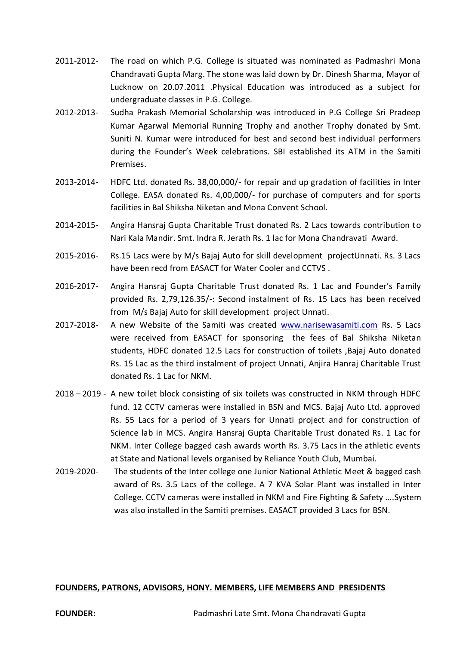- 2011-2012- The road on which P.G. College is situated was nominated as Padmashri Mona Chandravati Gupta Marg. The stone was laid down by Dr. Dinesh Sharma, Mayor of Lucknow on 20.07.2011 .Physical Education was introduced as a subject for undergraduate classes in P.G. College.
- 2012-2013- Sudha Prakash Memorial Scholarship was introduced in P.G College Sri Pradeep Kumar Agarwal Memorial Running Trophy and another Trophy donated by Smt. Suniti N. Kumar were introduced for best and second best individual performers during the Founder's Week celebrations. SBI established its ATM in the Samiti Premises.
- 2013-2014- HDFC Ltd. donated Rs. 38,00,000/- for repair and up gradation of facilities in Inter College. EASA donated Rs. 4,00,000/- for purchase of computers and for sports facilities in Bal Shiksha Niketan and Mona Convent School.
- 2014-2015- Angira Hansraj Gupta Charitable Trust donated Rs. 2 Lacs towards contribution to Nari Kala Mandir. Smt. Indra R. Jerath Rs. 1 lac for Mona Chandravati Award.
- 2015-2016- Rs.15 Lacs were by M/s Bajaj Auto for skill development projectUnnati. Rs. 3 Lacs have been recd from EASACT for Water Cooler and CCTVS .
- 2016-2017- Angira Hansraj Gupta Charitable Trust donated Rs. 1 Lac and Founder's Family provided Rs. 2,79,126.35/-: Second instalment of Rs. 15 Lacs has been received from M/s Bajaj Auto for skill development project Unnati.
- 2017-2018- A new Website of the Samiti was created [www.narisewasamiti.com](http://www.narisewasamiti.com/) Rs. 5 Lacs were received from EASACT for sponsoring the fees of Bal Shiksha Niketan students, HDFC donated 12.5 Lacs for construction of toilets ,Bajaj Auto donated Rs. 15 Lac as the third instalment of project Unnati, Anjira Hanraj Charitable Trust donated Rs. 1 Lac for NKM.
- 2018 2019 A new toilet block consisting of six toilets was constructed in NKM through HDFC fund. 12 CCTV cameras were installed in BSN and MCS. Bajaj Auto Ltd. approved Rs. 55 Lacs for a period of 3 years for Unnati project and for construction of Science lab in MCS. Angira Hansraj Gupta Charitable Trust donated Rs. 1 Lac for NKM. Inter College bagged cash awards worth Rs. 3.75 Lacs in the athletic events at State and National levels organised by Reliance Youth Club, Mumbai.
- 2019-2020- The students of the Inter college one Junior National Athletic Meet & bagged cash award of Rs. 3.5 Lacs of the college. A 7 KVA Solar Plant was installed in Inter College. CCTV cameras were installed in NKM and Fire Fighting & Safety ….System was also installed in the Samiti premises. EASACT provided 3 Lacs for BSN.

#### **FOUNDERS, PATRONS, ADVISORS, HONY. MEMBERS, LIFE MEMBERS AND PRESIDENTS**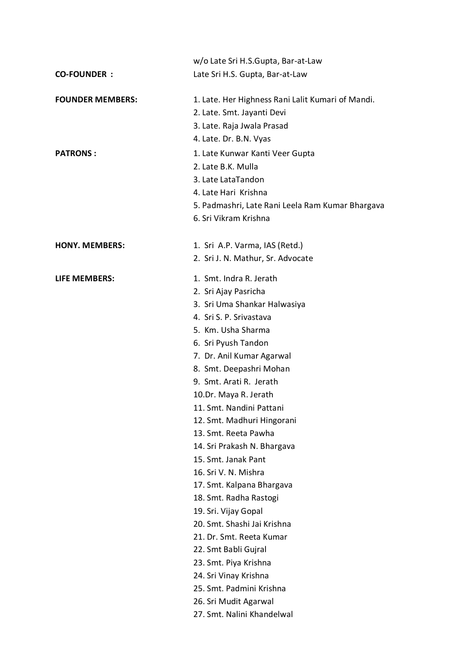|                         | w/o Late Sri H.S.Gupta, Bar-at-Law                |
|-------------------------|---------------------------------------------------|
| <b>CO-FOUNDER:</b>      | Late Sri H.S. Gupta, Bar-at-Law                   |
|                         |                                                   |
| <b>FOUNDER MEMBERS:</b> | 1. Late. Her Highness Rani Lalit Kumari of Mandi. |
|                         | 2. Late. Smt. Jayanti Devi                        |
|                         | 3. Late. Raja Jwala Prasad                        |
|                         | 4. Late. Dr. B.N. Vyas                            |
| <b>PATRONS:</b>         | 1. Late Kunwar Kanti Veer Gupta                   |
|                         | 2. Late B.K. Mulla                                |
|                         | 3. Late LataTandon                                |
|                         | 4. Late Hari Krishna                              |
|                         | 5. Padmashri, Late Rani Leela Ram Kumar Bhargava  |
|                         | 6. Sri Vikram Krishna                             |
|                         |                                                   |
| <b>HONY. MEMBERS:</b>   | 1. Sri A.P. Varma, IAS (Retd.)                    |
|                         | 2. Sri J. N. Mathur, Sr. Advocate                 |
| <b>LIFE MEMBERS:</b>    | 1. Smt. Indra R. Jerath                           |
|                         | 2. Sri Ajay Pasricha                              |
|                         | 3. Sri Uma Shankar Halwasiya                      |
|                         | 4. Sri S. P. Srivastava                           |
|                         | 5. Km. Usha Sharma                                |
|                         | 6. Sri Pyush Tandon                               |
|                         | 7. Dr. Anil Kumar Agarwal                         |
|                         | 8. Smt. Deepashri Mohan                           |
|                         | 9. Smt. Arati R. Jerath                           |
|                         | 10.Dr. Maya R. Jerath                             |
|                         | 11. Smt. Nandini Pattani                          |
|                         | 12. Smt. Madhuri Hingorani                        |
|                         | 13. Smt. Reeta Pawha                              |
|                         | 14. Sri Prakash N. Bhargava                       |
|                         | 15. Smt. Janak Pant                               |
|                         | 16. Sri V. N. Mishra                              |
|                         | 17. Smt. Kalpana Bhargava                         |
|                         | 18. Smt. Radha Rastogi                            |
|                         | 19. Sri. Vijay Gopal                              |
|                         | 20. Smt. Shashi Jai Krishna                       |
|                         | 21. Dr. Smt. Reeta Kumar                          |
|                         | 22. Smt Babli Gujral                              |
|                         | 23. Smt. Piya Krishna                             |
|                         | 24. Sri Vinay Krishna                             |
|                         | 25. Smt. Padmini Krishna                          |
|                         | 26. Sri Mudit Agarwal                             |
|                         | 27. Smt. Nalini Khandelwal                        |
|                         |                                                   |